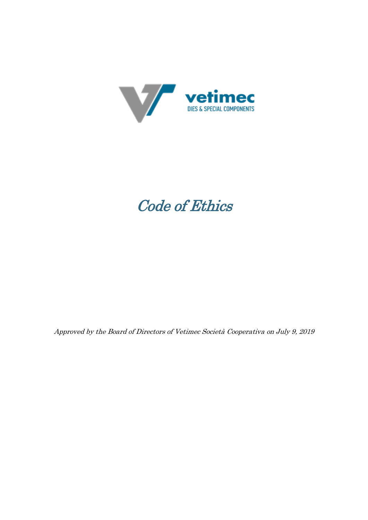

# Code of Ethics

Approved by the Board of Directors of Vetimec Società Cooperativa on July 9, 2019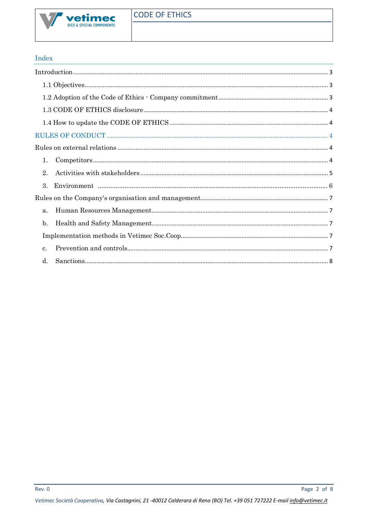# Index

| 1. |  |  |
|----|--|--|
| 2. |  |  |
| 3. |  |  |
|    |  |  |
| a. |  |  |
| b. |  |  |
|    |  |  |
| c. |  |  |
| d. |  |  |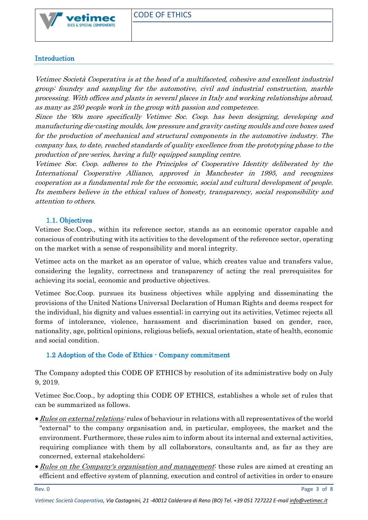

## <span id="page-2-0"></span>Introduction

Vetimec Società Cooperativa is at the head of a multifaceted, cohesive and excellent industrial group: foundry and sampling for the automotive, civil and industrial construction, marble processing. With offices and plants in several places in Italy and working relationships abroad, as many as 250 people work in the group with passion and competence.

Since the '60s more specifically Vetimec Soc. Coop. has been designing, developing and manufacturing die-casting moulds, low pressure and gravity casting moulds and core boxes used for the production of mechanical and structural components in the automotive industry. The company has, to date, reached standards of quality excellence from the prototyping phase to the production of pre-series, having a fully equipped sampling centre.

Vetimec Soc. Coop. adheres to the Principles of Cooperative Identity deliberated by the International Cooperative Alliance, approved in Manchester in 1995, and recognizes cooperation as a fundamental role for the economic, social and cultural development of people. Its members believe in the ethical values of honesty, transparency, social responsibility and attention to others.

## 1.1. Objectives

<span id="page-2-1"></span>Vetimec Soc.Coop., within its reference sector, stands as an economic operator capable and conscious of contributing with its activities to the development of the reference sector, operating on the market with a sense of responsibility and moral integrity.

Vetimec acts on the market as an operator of value, which creates value and transfers value, considering the legality, correctness and transparency of acting the real prerequisites for achieving its social, economic and productive objectives.

Vetimec Soc.Coop. pursues its business objectives while applying and disseminating the provisions of the United Nations Universal Declaration of Human Rights and deems respect for the individual, his dignity and values essential; in carrying out its activities, Vetimec rejects all forms of intolerance, violence, harassment and discrimination based on gender, race, nationality, age, political opinions, religious beliefs, sexual orientation, state of health, economic and social condition.

## <span id="page-2-2"></span>1.2 Adoption of the Code of Ethics - Company commitment

The Company adopted this CODE OF ETHICS by resolution of its administrative body on July 9, 2019.

Vetimec Soc.Coop., by adopting this CODE OF ETHICS, establishes a whole set of rules that can be summarized as follows.

- Rules on external relations: rules of behaviour in relations with all representatives of the world "external" to the company organisation and, in particular, employees, the market and the environment. Furthermore, these rules aim to inform about its internal and external activities, requiring compliance with them by all collaborators, consultants and, as far as they are concerned, external stakeholders;
- Rules on the Company's organisation and management: these rules are aimed at creating an efficient and effective system of planning, execution and control of activities in order to ensure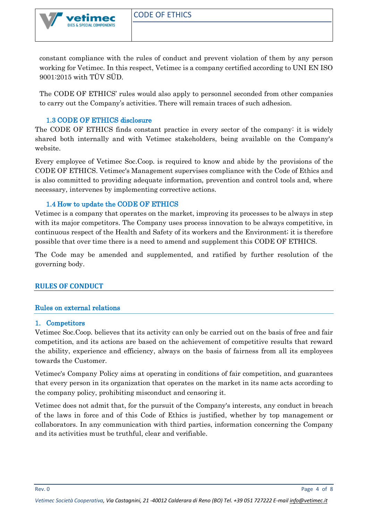constant compliance with the rules of conduct and prevent violation of them by any person working for Vetimec. In this respect, Vetimec is a company certified according to UNI EN ISO 9001:2015 with TÜV SÜD.

The CODE OF ETHICS' rules would also apply to personnel seconded from other companies to carry out the Company's activities. There will remain traces of such adhesion.

## 1.3 CODE OF ETHICS disclosure

DIES & SPECIAL COMPONENTS

<span id="page-3-0"></span>The CODE OF ETHICS finds constant practice in every sector of the company: it is widely shared both internally and with Vetimec stakeholders, being available on the Company's website.

Every employee of Vetimec Soc.Coop. is required to know and abide by the provisions of the CODE OF ETHICS. Vetimec's Management supervises compliance with the Code of Ethics and is also committed to providing adequate information, prevention and control tools and, where necessary, intervenes by implementing corrective actions.

## 1.4 How to update the CODE OF ETHICS

<span id="page-3-1"></span>Vetimec is a company that operates on the market, improving its processes to be always in step with its major competitors. The Company uses process innovation to be always competitive, in continuous respect of the Health and Safety of its workers and the Environment; it is therefore possible that over time there is a need to amend and supplement this CODE OF ETHICS.

The Code may be amended and supplemented, and ratified by further resolution of the governing body.

## <span id="page-3-3"></span><span id="page-3-2"></span>**RULES OF CONDUCT**

#### Rules on external relations

#### <span id="page-3-4"></span>1. Competitors

Vetimec Soc.Coop. believes that its activity can only be carried out on the basis of free and fair competition, and its actions are based on the achievement of competitive results that reward the ability, experience and efficiency, always on the basis of fairness from all its employees towards the Customer.

Vetimec's Company Policy aims at operating in conditions of fair competition, and guarantees that every person in its organization that operates on the market in its name acts according to the company policy, prohibiting misconduct and censoring it.

Vetimec does not admit that, for the pursuit of the Company's interests, any conduct in breach of the laws in force and of this Code of Ethics is justified, whether by top management or collaborators. In any communication with third parties, information concerning the Company and its activities must be truthful, clear and verifiable.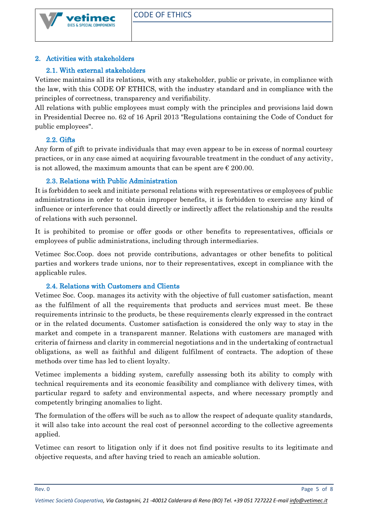

## <span id="page-4-0"></span>2. Activities with stakeholders

## 2.1. With external stakeholders

Vetimec maintains all its relations, with any stakeholder, public or private, in compliance with the law, with this CODE OF ETHICS, with the industry standard and in compliance with the principles of correctness, transparency and verifiability.

All relations with public employees must comply with the principles and provisions laid down in Presidential Decree no. 62 of 16 April 2013 "Regulations containing the Code of Conduct for public employees".

## 2.2. Gifts

Any form of gift to private individuals that may even appear to be in excess of normal courtesy practices, or in any case aimed at acquiring favourable treatment in the conduct of any activity, is not allowed, the maximum amounts that can be spent are  $\epsilon$  200.00.

## 2.3. Relations with Public Administration

It is forbidden to seek and initiate personal relations with representatives or employees of public administrations in order to obtain improper benefits, it is forbidden to exercise any kind of influence or interference that could directly or indirectly affect the relationship and the results of relations with such personnel.

It is prohibited to promise or offer goods or other benefits to representatives, officials or employees of public administrations, including through intermediaries.

Vetimec Soc.Coop. does not provide contributions, advantages or other benefits to political parties and workers trade unions, nor to their representatives, except in compliance with the applicable rules.

## 2.4. Relations with Customers and Clients

Vetimec Soc. Coop. manages its activity with the objective of full customer satisfaction, meant as the fulfilment of all the requirements that products and services must meet. Be these requirements intrinsic to the products, be these requirements clearly expressed in the contract or in the related documents. Customer satisfaction is considered the only way to stay in the market and compete in a transparent manner. Relations with customers are managed with criteria of fairness and clarity in commercial negotiations and in the undertaking of contractual obligations, as well as faithful and diligent fulfilment of contracts. The adoption of these methods over time has led to client loyalty.

Vetimec implements a bidding system, carefully assessing both its ability to comply with technical requirements and its economic feasibility and compliance with delivery times, with particular regard to safety and environmental aspects, and where necessary promptly and competently bringing anomalies to light.

The formulation of the offers will be such as to allow the respect of adequate quality standards, it will also take into account the real cost of personnel according to the collective agreements applied.

Vetimec can resort to litigation only if it does not find positive results to its legitimate and objective requests, and after having tried to reach an amicable solution.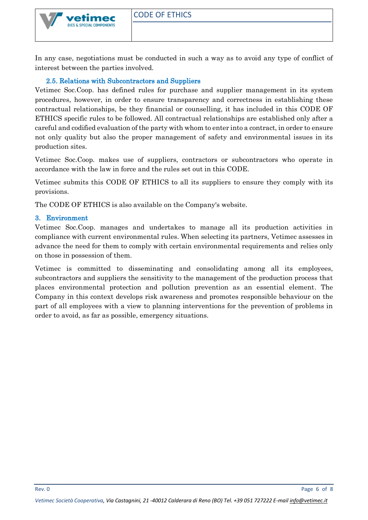In any case, negotiations must be conducted in such a way as to avoid any type of conflict of interest between the parties involved.

#### 2.5. Relations with Subcontractors and Suppliers

DIES & SPECIAL COMPONENTS

Vetimec Soc.Coop. has defined rules for purchase and supplier management in its system procedures, however, in order to ensure transparency and correctness in establishing these contractual relationships, be they financial or counselling, it has included in this CODE OF ETHICS specific rules to be followed. All contractual relationships are established only after a careful and codified evaluation of the party with whom to enter into a contract, in order to ensure not only quality but also the proper management of safety and environmental issues in its production sites.

Vetimec Soc.Coop. makes use of suppliers, contractors or subcontractors who operate in accordance with the law in force and the rules set out in this CODE.

Vetimec submits this CODE OF ETHICS to all its suppliers to ensure they comply with its provisions.

The CODE OF ETHICS is also available on the Company's website.

#### <span id="page-5-0"></span>3. Environment

Vetimec Soc.Coop. manages and undertakes to manage all its production activities in compliance with current environmental rules. When selecting its partners, Vetimec assesses in advance the need for them to comply with certain environmental requirements and relies only on those in possession of them.

Vetimec is committed to disseminating and consolidating among all its employees, subcontractors and suppliers the sensitivity to the management of the production process that places environmental protection and pollution prevention as an essential element. The Company in this context develops risk awareness and promotes responsible behaviour on the part of all employees with a view to planning interventions for the prevention of problems in order to avoid, as far as possible, emergency situations.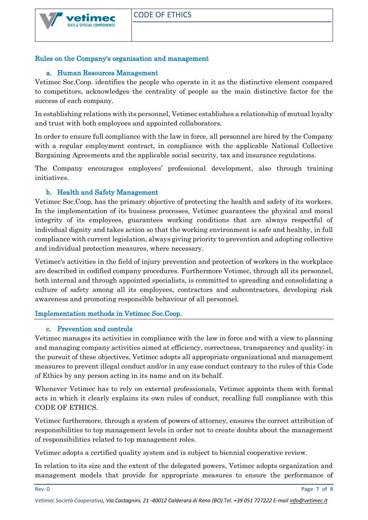

# <span id="page-6-1"></span><span id="page-6-0"></span>Rules on the Company's organisation and management

## a. Human Resources Management

Vetimec Soc.Coop. identifies the people who operate in it as the distinctive element compared to competitors, acknowledges the centrality of people as the main distinctive factor for the success of each company.

In establishing relations with its personnel, Vetimec establishes a relationship of mutual loyalty and trust with both employees and appointed collaborators.

In order to ensure full compliance with the law in force, all personnel are hired by the Company with a regular employment contract, in compliance with the applicable National Collective Bargaining Agreements and the applicable social security, tax and insurance regulations.

The Company encourages employees' professional development, also through training initiatives.

## b. Health and Safety Management

<span id="page-6-2"></span>Vetimec Soc.Coop. has the primary objective of protecting the health and safety of its workers. In the implementation of its business processes, Vetimec guarantees the physical and moral integrity of its employees, guarantees working conditions that are always respectful of individual dignity and takes action so that the working environment is safe and healthy, in full compliance with current legislation, always giving priority to prevention and adopting collective and individual protection measures, where necessary.

Vetimec's activities in the field of injury prevention and protection of workers in the workplace are described in codified company procedures. Furthermore Vetimec, through all its personnel, both internal and through appointed specialists, is committed to spreading and consolidating a culture of safety among all its employees, contractors and subcontractors, developing risk awareness and promoting responsible behaviour of all personnel.

## <span id="page-6-4"></span><span id="page-6-3"></span>Implementation methods in Vetimec Soc.Coop.

## c. Prevention and controls

Vetimec manages its activities in compliance with the law in force and with a view to planning and managing company activities aimed at efficiency, correctness, transparency and quality; in the pursuit of these objectives, Vetimec adopts all appropriate organizational and management measures to prevent illegal conduct and/or in any case conduct contrary to the rules of this Code of Ethics by any person acting in its name and on its behalf.

Whenever Vetimec has to rely on external professionals, Vetimec appoints them with formal acts in which it clearly explains its own rules of conduct, recalling full compliance with this CODE OF ETHICS.

Vetimec furthermore, through a system of powers of attorney, ensures the correct attribution of responsibilities to top management levels in order not to create doubts about the management of responsibilities related to top management roles.

Vetimec adopts a certified quality system and is subject to biennial cooperative review.

In relation to its size and the extent of the delegated powers, Vetimec adopts organization and management models that provide for appropriate measures to ensure the performance of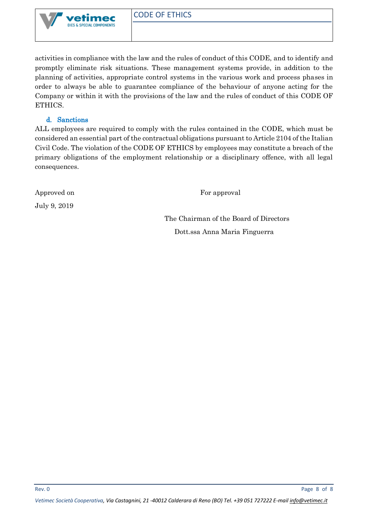

activities in compliance with the law and the rules of conduct of this CODE, and to identify and promptly eliminate risk situations. These management systems provide, in addition to the planning of activities, appropriate control systems in the various work and process phases in order to always be able to guarantee compliance of the behaviour of anyone acting for the Company or within it with the provisions of the law and the rules of conduct of this CODE OF ETHICS.

## d. Sanctions

<span id="page-7-0"></span>ALL employees are required to comply with the rules contained in the CODE, which must be considered an essential part of the contractual obligations pursuant to Article 2104 of the Italian Civil Code. The violation of the CODE OF ETHICS by employees may constitute a breach of the primary obligations of the employment relationship or a disciplinary offence, with all legal consequences.

July 9, 2019

Approved on For approval

 The Chairman of the Board of Directors Dott.ssa Anna Maria Finguerra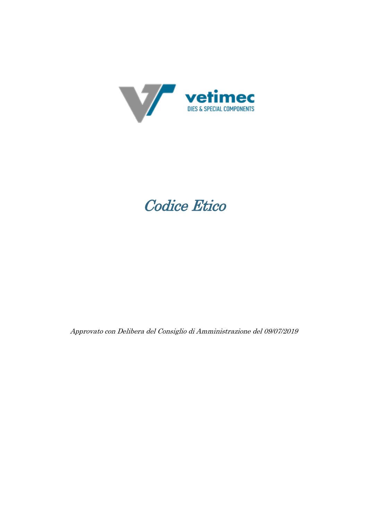

# Codice Etico

Approvato con Delibera del Consiglio di Amministrazione del 09/07/2019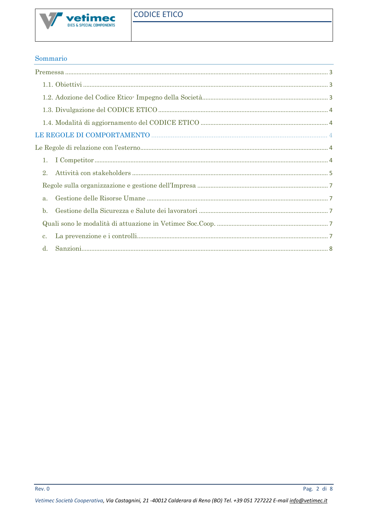

## Sommario

| 1.             |  |  |
|----------------|--|--|
| 2.             |  |  |
|                |  |  |
| $a$ .          |  |  |
| $\mathbf{b}$ . |  |  |
|                |  |  |
| $\mathbf{c}$ . |  |  |
| d.             |  |  |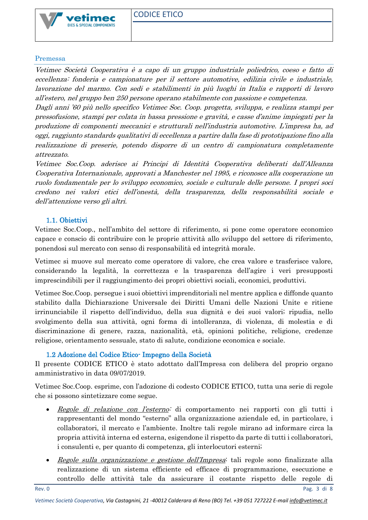

#### <span id="page-10-0"></span>Premessa

Vetimec Società Cooperativa è a capo di un gruppo industriale poliedrico, coeso e fatto di eccellenza: fonderia e campionature per il settore automotive, edilizia civile e industriale, lavorazione del marmo. Con sedi e stabilimenti in più luoghi in Italia e rapporti di lavoro all'estero, nel gruppo ben 250 persone operano stabilmente con passione e competenza.

Dagli anni '60 più nello specifico Vetimec Soc. Coop. progetta, sviluppa, e realizza stampi per pressofusione, stampi per colata in bassa pressione e gravità, e casse d'anime impiegati per la produzione di componenti meccanici e strutturali nell'industria automotive. L'impresa ha, ad oggi, raggiunto standards qualitativi di eccellenza a partire dalla fase di prototipazione fino alla realizzazione di preserie, potendo disporre di un centro di campionatura completamente attrezzato.

Vetimec Soc.Coop. aderisce ai Principi di Identità Cooperativa deliberati dall'Alleanza Cooperativa Internazionale, approvati a Manchester nel 1995, e riconosce alla cooperazione un ruolo fondamentale per lo sviluppo economico, sociale e culturale delle persone. I propri soci credono nei valori etici dell'onestà, della trasparenza, della responsabilità sociale e dell'attenzione verso gli altri.

## 1.1. Obiettivi

<span id="page-10-1"></span>Vetimec Soc.Coop., nell'ambito del settore di riferimento, si pone come operatore economico capace e conscio di contribuire con le proprie attività allo sviluppo del settore di riferimento, ponendosi sul mercato con senso di responsabilità ed integrità morale.

Vetimec si muove sul mercato come operatore di valore, che crea valore e trasferisce valore, considerando la legalità, la correttezza e la trasparenza dell'agire i veri presupposti imprescindibili per il raggiungimento dei propri obiettivi sociali, economici, produttivi.

Vetimec Soc.Coop. persegue i suoi obiettivi imprenditoriali nel mentre applica e diffonde quanto stabilito dalla Dichiarazione Universale dei Diritti Umani delle Nazioni Unite e ritiene irrinunciabile il rispetto dell'individuo, della sua dignità e dei suoi valori; ripudia, nello svolgimento della sua attività, ogni forma di intolleranza, di violenza, di molestia e di discriminazione di genere, razza, nazionalità, età, opinioni politiche, religione, credenze religiose, orientamento sessuale, stato di salute, condizione economica e sociale.

## 1.2 Adozione del Codice Etico- Impegno della Società

<span id="page-10-2"></span>Il presente CODICE ETICO è stato adottato dall'Impresa con delibera del proprio organo amministrativo in data 09/07/2019.

Vetimec Soc.Coop. esprime, con l'adozione di codesto CODICE ETICO, tutta una serie di regole che si possono sintetizzare come segue.

- Regole di relazione con l'esterno: di comportamento nei rapporti con gli tutti i rappresentanti del mondo "esterno" alla organizzazione aziendale ed, in particolare, i collaboratori, il mercato e l'ambiente. Inoltre tali regole mirano ad informare circa la propria attività interna ed esterna, esigendone il rispetto da parte di tutti i collaboratori, i consulenti e, per quanto di competenza, gli interlocutori esterni;
- Regole sulla organizzazione e gestione dell'Impresa: tali regole sono finalizzate alla realizzazione di un sistema efficiente ed efficace di programmazione, esecuzione e controllo delle attività tale da assicurare il costante rispetto delle regole di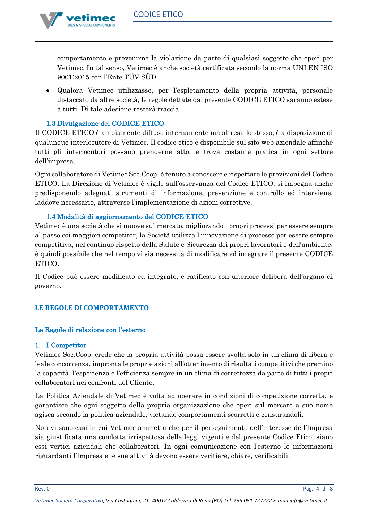

DIES & SPECIAL COMPONENTS

comportamento e prevenirne la violazione da parte di qualsiasi soggetto che operi per Vetimec. In tal senso, Vetimec è anche società certificata secondo la norma UNI EN ISO 9001:2015 con l'Ente TÜV SÜD.

• Qualora Vetimec utilizzasse, per l'espletamento della propria attività, personale distaccato da altre società, le regole dettate dal presente CODICE ETICO saranno estese a tutti. Di tale adesione resterà traccia.

## 1.3 Divulgazione del CODICE ETICO

<span id="page-11-0"></span>Il CODICE ETICO è ampiamente diffuso internamente ma altresì, lo stesso, è a disposizione di qualunque interlocutore di Vetimec. Il codice etico è disponibile sul sito web aziendale affinché tutti gli interlocutori possano prenderne atto, e trova costante pratica in ogni settore dell'impresa.

Ogni collaboratore di Vetimec Soc.Coop. è tenuto a conoscere e rispettare le previsioni del Codice ETICO. La Direzione di Vetimec è vigile sull'osservanza del Codice ETICO, si impegna anche predisponendo adeguati strumenti di informazione, prevenzione e controllo ed interviene, laddove necessario, attraverso l'implementazione di azioni correttive.

## 1.4 Modalità di aggiornamento del CODICE ETICO

<span id="page-11-1"></span>Vetimec è una società che si muove sul mercato, migliorando i propri processi per essere sempre al passo coi maggiori competitor, la Società utilizza l'innovazione di processo per essere sempre competitiva, nel continuo rispetto della Salute e Sicurezza dei propri lavoratori e dell'ambiente; è quindi possibile che nel tempo vi sia necessità di modificare ed integrare il presente CODICE ETICO.

Il Codice può essere modificato ed integrato, e ratificato con ulteriore delibera dell'organo di governo.

## <span id="page-11-3"></span><span id="page-11-2"></span>**LE REGOLE DI COMPORTAMENTO**

## Le Regole di relazione con l'esterno

## <span id="page-11-4"></span>1. I Competitor

Vetimec Soc.Coop. crede che la propria attività possa essere svolta solo in un clima di libera e leale concorrenza, impronta le proprie azioni all'ottenimento di risultati competitivi che premino la capacità, l'esperienza e l'efficienza sempre in un clima di correttezza da parte di tutti i propri collaboratori nei confronti del Cliente.

La Politica Aziendale di Vetimec è volta ad operare in condizioni di competizione corretta, e garantisce che ogni soggetto della propria organizzazione che operi sul mercato a suo nome agisca secondo la politica aziendale, vietando comportamenti scorretti e censurandoli.

Non vi sono casi in cui Vetimec ammetta che per il perseguimento dell'interesse dell'Impresa sia giustificata una condotta irrispettosa delle leggi vigenti e del presente Codice Etico, siano essi vertici aziendali che collaboratori. In ogni comunicazione con l'esterno le informazioni riguardanti l'Impresa e le sue attività devono essere veritiere, chiare, verificabili.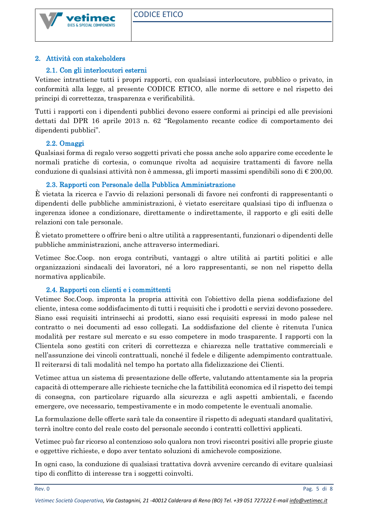

## <span id="page-12-0"></span>2. Attività con stakeholders

## 2.1. Con gli interlocutori esterni

Vetimec intrattiene tutti i propri rapporti, con qualsiasi interlocutore, pubblico o privato, in conformità alla legge, al presente CODICE ETICO, alle norme di settore e nel rispetto dei principi di correttezza, trasparenza e verificabilità.

Tutti i rapporti con i dipendenti pubblici devono essere conformi ai principi ed alle previsioni dettati dal DPR 16 aprile 2013 n. 62 "Regolamento recante codice di comportamento dei dipendenti pubblici".

#### 2.2. Omaggi

Qualsiasi forma di regalo verso soggetti privati che possa anche solo apparire come eccedente le normali pratiche di cortesia, o comunque rivolta ad acquisire trattamenti di favore nella conduzione di qualsiasi attività non è ammessa, gli importi massimi spendibili sono di  $\epsilon$  200,00.

#### 2.3. Rapporti con Personale della Pubblica Amministrazione

È vietata la ricerca e l'avvio di relazioni personali di favore nei confronti di rappresentanti o dipendenti delle pubbliche amministrazioni, è vietato esercitare qualsiasi tipo di influenza o ingerenza idonee a condizionare, direttamente o indirettamente, il rapporto e gli esiti delle relazioni con tale personale.

È vietato promettere o offrire beni o altre utilità a rappresentanti, funzionari o dipendenti delle pubbliche amministrazioni, anche attraverso intermediari.

Vetimec Soc.Coop. non eroga contributi, vantaggi o altre utilità ai partiti politici e alle organizzazioni sindacali dei lavoratori, né a loro rappresentanti, se non nel rispetto della normativa applicabile.

#### 2.4. Rapporti con clienti e i committenti

Vetimec Soc.Coop. impronta la propria attività con l'obiettivo della piena soddisfazione del cliente, intesa come soddisfacimento di tutti i requisiti che i prodotti e servizi devono possedere. Siano essi requisiti intrinsechi ai prodotti, siano essi requisiti espressi in modo palese nel contratto o nei documenti ad esso collegati. La soddisfazione del cliente è ritenuta l'unica modalità per restare sul mercato e su esso competere in modo trasparente. I rapporti con la Clientela sono gestiti con criteri di correttezza e chiarezza nelle trattative commerciali e nell'assunzione dei vincoli contrattuali, nonché il fedele e diligente adempimento contrattuale. Il reiterarsi di tali modalità nel tempo ha portato alla fidelizzazione dei Clienti.

Vetimec attua un sistema di presentazione delle offerte, valutando attentamente sia la propria capacità di ottemperare alle richieste tecniche che la fattibilità economica ed il rispetto dei tempi di consegna, con particolare riguardo alla sicurezza e agli aspetti ambientali, e facendo emergere, ove necessario, tempestivamente e in modo competente le eventuali anomalie.

La formulazione delle offerte sarà tale da consentire il rispetto di adeguati standard qualitativi, terrà inoltre conto del reale costo del personale secondo i contratti collettivi applicati.

Vetimec può far ricorso al contenzioso solo qualora non trovi riscontri positivi alle proprie giuste e oggettive richieste, e dopo aver tentato soluzioni di amichevole composizione.

In ogni caso, la conduzione di qualsiasi trattativa dovrà avvenire cercando di evitare qualsiasi tipo di conflitto di interesse tra i soggetti coinvolti.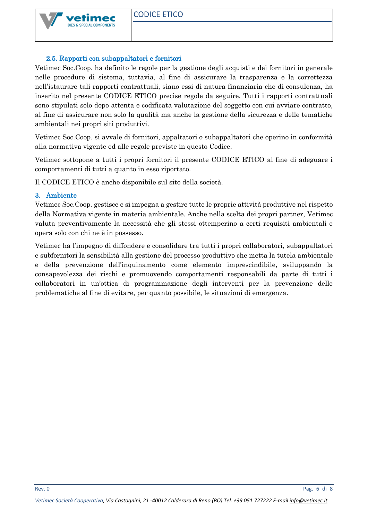

## 2.5. Rapporti con subappaltatori e fornitori

Vetimec Soc.Coop. ha definito le regole per la gestione degli acquisti e dei fornitori in generale nelle procedure di sistema, tuttavia, al fine di assicurare la trasparenza e la correttezza nell'istaurare tali rapporti contrattuali, siano essi di natura finanziaria che di consulenza, ha inserito nel presente CODICE ETICO precise regole da seguire. Tutti i rapporti contrattuali sono stipulati solo dopo attenta e codificata valutazione del soggetto con cui avviare contratto, al fine di assicurare non solo la qualità ma anche la gestione della sicurezza e delle tematiche ambientali nei propri siti produttivi.

Vetimec Soc.Coop. si avvale di fornitori, appaltatori o subappaltatori che operino in conformità alla normativa vigente ed alle regole previste in questo Codice.

Vetimec sottopone a tutti i propri fornitori il presente CODICE ETICO al fine di adeguare i comportamenti di tutti a quanto in esso riportato.

Il CODICE ETICO è anche disponibile sul sito della società.

## 3. Ambiente

Vetimec Soc.Coop. gestisce e si impegna a gestire tutte le proprie attività produttive nel rispetto della Normativa vigente in materia ambientale. Anche nella scelta dei propri partner, Vetimec valuta preventivamente la necessità che gli stessi ottemperino a certi requisiti ambientali e opera solo con chi ne è in possesso.

Vetimec ha l'impegno di diffondere e consolidare tra tutti i propri collaboratori, subappaltatori e subfornitori la sensibilità alla gestione del processo produttivo che metta la tutela ambientale e della prevenzione dell'inquinamento come elemento imprescindibile, sviluppando la consapevolezza dei rischi e promuovendo comportamenti responsabili da parte di tutti i collaboratori in un'ottica di programmazione degli interventi per la prevenzione delle problematiche al fine di evitare, per quanto possibile, le situazioni di emergenza.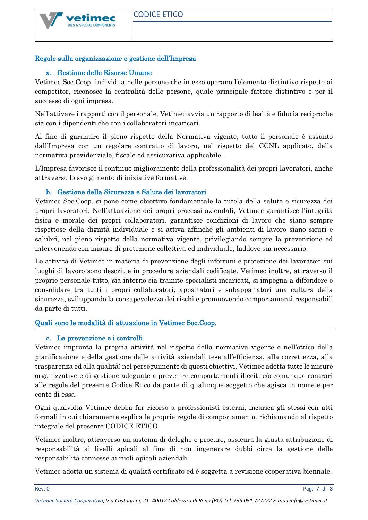

# <span id="page-14-1"></span><span id="page-14-0"></span>Regole sulla organizzazione e gestione dell'Impresa

# a. Gestione delle Risorse Umane

Vetimec Soc.Coop. individua nelle persone che in esso operano l'elemento distintivo rispetto ai competitor, riconosce la centralità delle persone, quale principale fattore distintivo e per il successo di ogni impresa.

Nell'attivare i rapporti con il personale, Vetimec avvia un rapporto di lealtà e fiducia reciproche sia con i dipendenti che con i collaboratori incaricati.

Al fine di garantire il pieno rispetto della Normativa vigente, tutto il personale è assunto dall'Impresa con un regolare contratto di lavoro, nel rispetto del CCNL applicato, della normativa previdenziale, fiscale ed assicurativa applicabile.

L'Impresa favorisce il continuo miglioramento della professionalità dei propri lavoratori, anche attraverso lo svolgimento di iniziative formative.

# b. Gestione della Sicurezza e Salute dei lavoratori

<span id="page-14-2"></span>Vetimec Soc.Coop. si pone come obiettivo fondamentale la tutela della salute e sicurezza dei propri lavoratori. Nell'attuazione dei propri processi aziendali, Vetimec garantisce l'integrità fisica e morale dei propri collaboratori, garantisce condizioni di lavoro che siano sempre rispettose della dignità individuale e si attiva affinché gli ambienti di lavoro siano sicuri e salubri, nel pieno rispetto della normativa vigente, privilegiando sempre la prevenzione ed intervenendo con misure di protezione collettiva ed individuale, laddove sia necessario.

Le attività di Vetimec in materia di prevenzione degli infortuni e protezione dei lavoratori sui luoghi di lavoro sono descritte in procedure aziendali codificate. Vetimec inoltre, attraverso il proprio personale tutto, sia interno sia tramite specialisti incaricati, si impegna a diffondere e consolidare tra tutti i propri collaboratori, appaltatori e subappaltatori una cultura della sicurezza, sviluppando la consapevolezza dei rischi e promuovendo comportamenti responsabili da parte di tutti.

# <span id="page-14-4"></span><span id="page-14-3"></span>Quali sono le modalità di attuazione in Vetimec Soc.Coop.

# c. La prevenzione e i controlli

Vetimec impronta la propria attività nel rispetto della normativa vigente e nell'ottica della pianificazione e della gestione delle attività aziendali tese all'efficienza, alla correttezza, alla trasparenza ed alla qualità; nel perseguimento di questi obiettivi, Vetimec adotta tutte le misure organizzative e di gestione adeguate a prevenire comportamenti illeciti e/o comunque contrari alle regole del presente Codice Etico da parte di qualunque soggetto che agisca in nome e per conto di essa.

Ogni qualvolta Vetimec debba far ricorso a professionisti esterni, incarica gli stessi con atti formali in cui chiaramente esplica le proprie regole di comportamento, richiamando al rispetto integrale del presente CODICE ETICO.

Vetimec inoltre, attraverso un sistema di deleghe e procure, assicura la giusta attribuzione di responsabilità ai livelli apicali al fine di non ingenerare dubbi circa la gestione delle responsabilità connesse ai ruoli apicali aziendali.

Vetimec adotta un sistema di qualità certificato ed è soggetta a revisione cooperativa biennale.